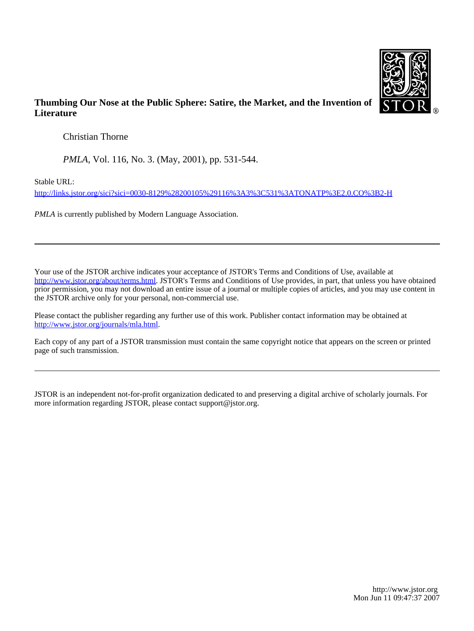

## **Thumbing Our Nose at the Public Sphere: Satire, the Market, and the Invention of Literature**

Christian Thorne

*PMLA*, Vol. 116, No. 3. (May, 2001), pp. 531-544.

Stable URL:

<http://links.jstor.org/sici?sici=0030-8129%28200105%29116%3A3%3C531%3ATONATP%3E2.0.CO%3B2-H>

*PMLA* is currently published by Modern Language Association.

Your use of the JSTOR archive indicates your acceptance of JSTOR's Terms and Conditions of Use, available at [http://www.jstor.org/about/terms.html.](http://www.jstor.org/about/terms.html) JSTOR's Terms and Conditions of Use provides, in part, that unless you have obtained prior permission, you may not download an entire issue of a journal or multiple copies of articles, and you may use content in the JSTOR archive only for your personal, non-commercial use.

Please contact the publisher regarding any further use of this work. Publisher contact information may be obtained at <http://www.jstor.org/journals/mla.html>.

Each copy of any part of a JSTOR transmission must contain the same copyright notice that appears on the screen or printed page of such transmission.

JSTOR is an independent not-for-profit organization dedicated to and preserving a digital archive of scholarly journals. For more information regarding JSTOR, please contact support@jstor.org.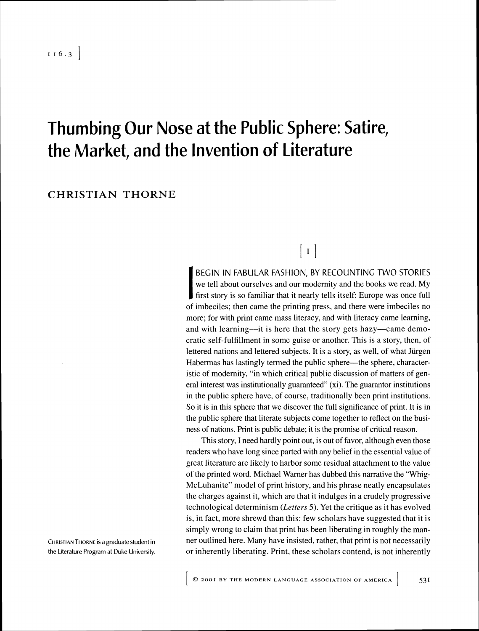# Thumbing Our Nose at the Public Sphere: Satire, the Market, and the Invention of Literature

### **CHRISTIAN** THORNE

BEGIN IN FABULAR FASHION, BY RECOUNTING TWO STORIES we tell about ourselves and our modernity and the books we read. My first story is so familiar that it nearly tells itself: Europe was once full of imbeciles; then came the printing press, and there were imbeciles no more; for with print came mass literacy, and with literacy came learning, and with learning—it is here that the story gets hazy—came democratic self-fulfillment in some guise or another. This is a story, then, of lettered nations and lettered subjects. It is a story, as well, of what Jürgen Habermas has lastingly termed the public sphere—the sphere, characteristic of modernity, "in which critical public discussion of matters of general interest was institutionally guaranteed"  $(xi)$ . The guarantor institutions in the public sphere have, of course, traditionally been print institutions. So it is in this sphere that we discover the full significance of print. It is in the public sphere that literate subjects come together to reflect on the business of nations. Print is public debate; it is the promise of critical reason.

 $\begin{bmatrix} 1 \end{bmatrix}$ 

This story, I need hardly point out, is out of favor, although even those readers who have long since parted with any belief in the essential value of great literature are likely to harbor some residual attachment to the value of the printed word. Michael Warner has dubbed this narrative the "Whig-McLuhanite" model of print history, and his phrase neatly encapsulates the charges against it, which are that it indulges in a crudely progressive technological determinism *(Letters 5).*Yet the critique as it has evolved is, in fact, more shrewd than this: few scholars have suggested that it is simply wrong to claim that print has been liberating in roughly the manner outlined here. Many have insisted, rather, that print is not necessarily or inherently liberating. Print, these scholars contend, is not inherently

CHRISTIANTHORNEis a graduate student in the Literature Program at Duke University,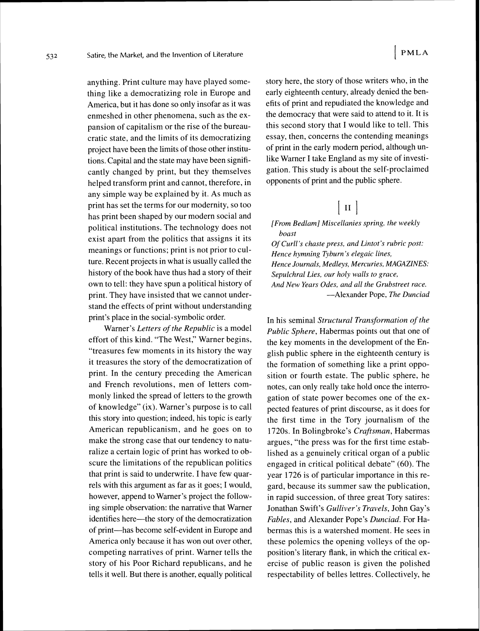anything. Print culture may have played something like a democratizing role in Europe and America, but it has done so only insofar as it was enmeshed in other phenomena, such as the expansion of capitalism or the rise of the bureaucratic state, and the limits of its democratizing project have been the limits of those other institutions. Capital and the state may have been significantly changed by print, but they themselves helped transform print and cannot, therefore, in any simple way be explained by it. As much as print has set the terms for our modernity, so too has print been shaped by our modern social and political institutions. The technology does not exist apart from the politics that assigns it its meanings or functions; print is not prior to culture. Recent projects in what is usually called the history of the book have thus had a story of their own to tell: they have spun a political history of print. They have insisted that we cannot understand the effects of print without understanding print's place in the social- symbolic order.

Warner's *Letters of the Republic* is a model effort of this kind. "The West," Warner begins, "treasures few moments in its history the way it treasures the story of the democratization of print. In the century preceding the American and French revolutions, men of letters commonly linked the spread of letters to the growth of knowledge" (ix). Warner's purpose is to call this story into question; indeed, his topic is early American republicanism, and he goes on to make the strong case that our tendency to naturalize a certain logic of print has worked to obscure the limitations of the republican politics that print is said to underwrite. I have few quarrels with this argument as far as it goes; I would, however, append to Warner's project the following simple observation: the narrative that Warner identifies here—the story of the democratization of print-has become self-evident in Europe and America only because it has won out over other, competing narratives of print. Warner tells the story of his Poor Richard republicans, and he tells it well. But there is another, equally political story here, the story of those writers who, in the early eighteenth century, already denied the benefits of print and repudiated the knowledge and the democracy that were said to attend to it. It is this second story that I would like to tell. This essay, then, concerns the contending meanings of print in the early modern period, although unlike Warner I take England as my site of investigation. This study is about the self-proclaimed opponents of print and the public sphere.

## $\vert$  II  $\vert$

*[From Bedlam] Miscellanies spring, the weekly boast*  Of Curll's chaste press, and Lintot's rubric post: *Hence hymning Tyburn's elegaic lines, Hence Journals, Medleys, Mercuries, MAGAZINES: Sepulchral Lies, our holy walls to grace, And New Years Odes, and ull the Grubstreet ruce. -Alexander* Pope, *The Dunciad* 

In his seminal *Structural Transformation of the Public Sphere,* Habermas points out that one of the key moments in the development of the English public sphere in the eighteenth century is the formation of something like a print opposition or fourth estate. The public sphere, he notes, can only really take hold once the interrogation of state power becomes one of the expected features of print discourse, as it does for the first time in the Tory journalism of the 1720s. In Bolingbroke's *Craftsman,* Habermas argues, "the press was for the first time established as a genuinely critical organ of a public engaged in critical political debate" (60). The year 1726 is of particular importance in this regard, because its summer saw the publication, in rapid succession, of three great Tory satires: Jonathan Swift's *Gulliver's Travels,* John Gay's *Fables,* and Alexander Pope's *Dunciad.* For Habermas this is a watershed moment. He sees in these polemics the opening volleys of the opposition's literary flank, in which the critical exercise of public reason is given the polished respectability of belles lettres. Collectively, he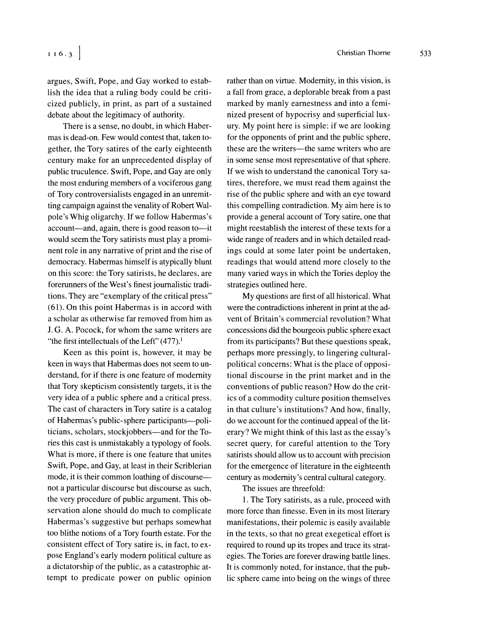argues, Swift, Pope, and Gay worked to establish the idea that a ruling body could be criticized publicly, in print, as part of a sustained debate about the legitimacy of authority.

There is a sense, no doubt, in which Habermas is dead-on. Few would contest that, taken together, the Tory satires of the early eighteenth century make for an unprecedented display of public truculence. Swift, Pope, and Gay are only the most enduring members of a vociferous gang of Tory controversialists engaged in an unremitting campaign against the venality of Robert Walpole's Whig oligarchy. If we follow Habermas's account-and, again, there is good reason to-it would seem the Tory satirists must play a prominent role in any narrative of print and the rise of democracy. Habermas himself is atypically blunt on this score: the Tory satirists, he declares, are forerunners of the West's finest journalistic traditions. They are "exemplary of the critical press" (61). On this point Habermas is in accord with a scholar as otherwise far removed from him as J. G. A. Pocock, for whom the same writers are "the first intellectuals of the Left"  $(477)$ .<sup>1</sup>

Keen as this point is, however, it may be keen in ways that Habermas does not seem to understand, for if there is one feature of modernity that Tory skepticism consistently targets, it is the very idea of a public sphere and a critical press. The cast of characters in Tory satire is a catalog of Habermas's public-sphere participants--politicians, scholars, stockjobbers-and for the Tories this cast is unmistakably a typology of fools. What is more, if there is one feature that unites Swift, Pope, and Gay, at least in their Scriblerian mode, it is their common loathing of discourse not a particular discourse but discourse as such, the very procedure of public argument. This observation alone should do much to complicate Habermas's suggestive but perhaps somewhat too blithe notions of a Tory fourth estate. For the consistent effect of Tory satire is, in fact, to expose England's early modern political culture as a dictatorship of the public, as a catastrophic attempt to predicate power on public opinion

rather than on virtue. Modernity, in this vision, is a fall from grace, a deplorable break from a past marked by manly earnestness and into a feminized present of hypocrisy and superficial luxury. My point here is simple: if we are looking for the opponents of print and the public sphere, these are the writers—the same writers who are in some sense most representative of that sphere. If we wish to understand the canonical Tory satires, therefore, we must read them against the rise of the public sphere and with an eye toward this compelling contradiction. My aim here is to provide a general account of Tory satire, one that might reestablish the interest of these texts for a wide range of readers and in which detailed readings could at some later point be undertaken, readings that would attend more closely to the many varied ways in which the Tories deploy the strategies outlined here.

My questions are first of all historical. What were the contradictions inherent in print at the advent of Britain's commercial revolution? What concessions did the bourgeois public sphere exact from its participants? But these questions speak, perhaps more pressingly, to lingering culturalpolitical concerns: What is the place of oppositional discourse in the print market and in the conventions of public reason? How do the critics of a commodity culture position themselves in that culture's institutions? And how, finally, do we account for the continued appeal of the literary? We might think of this last as the essay's secret query, for careful attention to the Tory satirists should allow us to account with precision for the emergence of literature in the eighteenth century as modernity's central cultural category.

The issues are threefold:

1. The Tory satirists, as a rule, proceed with more force than finesse. Even in its most literary manifestations, their polemic is easily available in the texts, so that no great exegetical effort is required to round up its tropes and trace its strategies. The Tories are forever drawing battle lines. It is commonly noted, for instance, that the public sphere came into being on the wings of three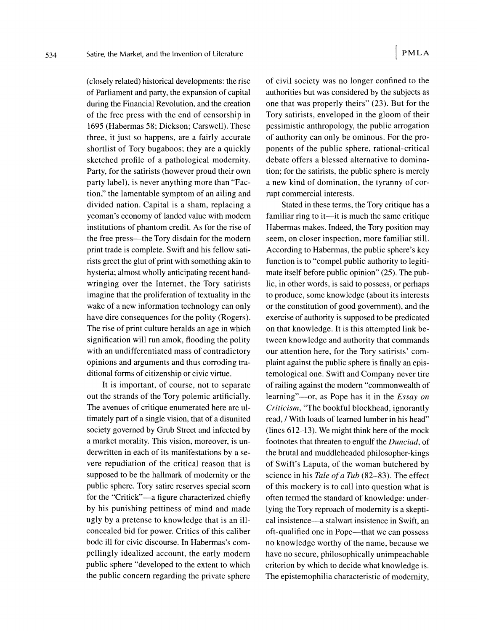(closely related) historical developments: the rise of Parliament and party, the expansion of capital during the Financial Revolution, and the creation of the free press with the end of censorship in 1695 (Habermas 58; Dickson; Carswell). These three, it just so happens, are a fairly accurate shortlist of Tory bugaboos; they are a quickly sketched profile of a pathological modernity. Party, for the satirists (however proud their own party label), is never anything more than "Faction,'' the lamentable symptom of an ailing and divided nation. Capital is a sham, replacing a yeoman's economy of landed value with modern institutions of phantom credit. As for the rise of the free press—the Tory disdain for the modern print trade is complete. Swift and his fellow satirists greet the glut of print with something akin to hysteria; almost wholly anticipating recent handwringing over the Internet, the Tory satirists imagine that the proliferation of textuality in the wake of a new information technology can only have dire consequences for the polity (Rogers). The rise of print culture heralds an age in which signification will run amok, flooding the polity with an undifferentiated mass of contradictory opinions and arguments and thus corroding traditional forms of citizenship or civic virtue.

It is important, of course, not to separate out the strands of the Tory polemic artificially. The avenues of critique enumerated here are ultimately part of a single vision, that of a disunited society governed by Grub Street and infected by a market morality. This vision, moreover, is underwritten in each of its manifestations by a severe repudiation of the critical reason that is supposed to be the hallmark of modernity or the public sphere. Tory satire reserves special scorn for the "Critick"—a figure characterized chiefly by his punishing pettiness of mind and made ugly by a pretense to knowledge that is an illconcealed bid for power. Critics of this caliber bode ill for civic discourse. In Habermas's compellingly idealized account, the early modern public sphere "developed to the extent to which the public concern regarding the private sphere

of civil society was no longer confined to the authorities but was considered by the subjects as one that was properly theirs" (23). But for the Tory satirists, enveloped in the gloom of their pessimistic anthropology, the public arrogation of authority can only be ominous. For the proponents of the public sphere, rational-critical debate offers a blessed alternative to domination; for the satirists, the public sphere is merely a new kind of domination, the tyranny of corrupt commercial interests.

Stated in these terms, the Tory critique has a familiar ring to it—it is much the same critique Habermas makes. Indeed, the Tory position may seem, on closer inspection, more familiar still. According to Habermas, the public sphere's key function is to "compel public authority to legitimate itself before public opinion" (25). The public, in other words, is said to possess, or perhaps to produce, some knowledge (about its interests or the constitution of good government), and the exercise of authority is supposed to be predicated on that knowledge. It is this attempted link between knowledge and authority that commands our attention here, for the Tory satirists' complaint against the public sphere is finally an epistemological one. Swift and Company never tire of railing against the modern "commonwealth of learning"—or, as Pope has it in the *Essay on Criticism,* "The bookful blockhead, ignorantly read, / With loads of learned lumber in his head" (lines 612-13). We might think here of the mock footnotes that threaten to engulf the *Dunciad,* of the brutal and muddleheaded philosopher-kings of Swift's Laputa, of the woman butchered by science in his *Tale* of *a Tub* (82-83). The effect of this mockery is to call into question what is often termed the standard of knowledge: underlying the Tory reproach of modernity is a skeptical insistence-a stalwart insistence in Swift, an oft-qualified one in Pope-that we can possess no knowledge worthy of the name, because we have no secure, philosophically unimpeachable criterion by which to decide what knowledge is. The epistemophilia characteristic of modernity,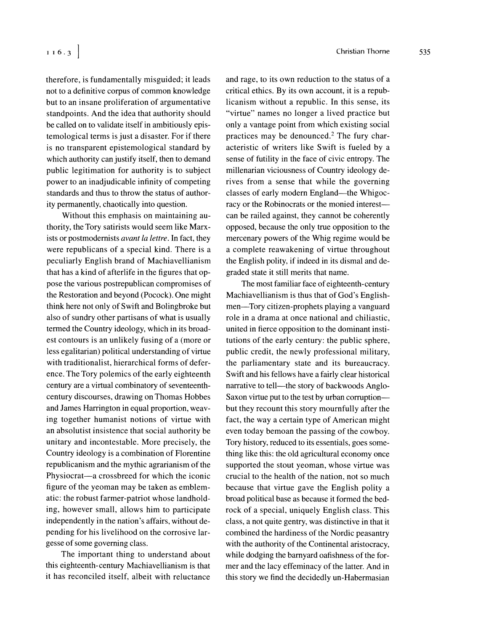therefore, is fundamentally misguided; it leads not to a definitive corpus of common knowledge but to an insane proliferation of argumentative standpoints. And the idea that authority should be called on to validate itself in ambitiously epistemological terms is just a disaster. For if there is no transparent epistemological standard by which authority can justify itself, then to demand public legitimation for authority is to subject power to an inadjudicable infinity of competing standards and thus to throw the status of authority permanently, chaotically into question.

Without this emphasis on maintaining authority, the Tory satirists would seem like Marxists or postmodernists *avant la lettre.* In fact, they were republicans of a special kind. There is a peculiarly English brand of Machiavellianism that has a kind of afterlife in the figures that oppose the various postrepublican compromises of the Restoration and beyond (Pocock). One might think here not only of Swift and Bolingbroke but also of sundry other partisans of what is usually termed the Country ideology, which in its broadest contours is an unlikely fusing of a (more or less egalitarian) political understanding of virtue with traditionalist, hierarchical forms of deference. The Tory polemics of the early eighteenth century are a virtual combinatory of seventeenthcentury discourses, drawing on Thomas Hobbes and James Harrington in equal proportion, weaving together humanist notions of virtue with an absolutist insistence that social authority be unitary and incontestable. More precisely, the Country ideology is a combination of Florentine republicanism and the mythic agrarianism of the Physiocrat—a crossbreed for which the iconic figure of the yeoman may be taken as emblematic: the robust farmer-patriot whose landholding, however small, allows him to participate independently in the nation's affairs, without depending for his livelihood on the corrosive largesse of some governing class.

The important thing to understand about this eighteenth-century Machiavellianism is that it has reconciled itself, albeit with reluctance and rage, to its own reduction to the status of a critical ethics. By its own account, it is a republicanism without a republic. In this sense, its "virtue" names no longer a lived practice but only a vantage point from which existing social practices may be denounced.<sup>2</sup> The fury characteristic of writers like Swift is fueled by a sense of futility in the face of civic entropy. The millenarian viciousness of Country ideology derives from a sense that while the governing classes of early modern England—the Whigocracy or the Robinocrats or the monied interestcan be railed against, they cannot be coherently opposed, because the only true opposition to the mercenary powers of the Whig regime would be a complete reawakening of virtue throughout the English polity, if indeed in its dismal and degraded state it still merits that name.

The most familiar face of eighteenth-century Machiavellianism is thus that of God's Englishmen-Tory citizen-prophets playing a vanguard role in a drama at once national and chiliastic, united in fierce opposition to the dominant institutions of the early century: the public sphere, public credit, the newly professional military, the parliamentary state and its bureaucracy. Swift and his fellows have a fairly clear historical narrative to tell—the story of backwoods Anglo-Saxon virtue put to the test by urban corruptionbut they recount this story mournfully after the fact, the way a certain type of American might even today bemoan the passing of the cowboy. Tory history, reduced to its essentials, goes something like this: the old agricultural economy once supported the stout yeoman, whose virtue was crucial to the health of the nation, not so much because that virtue gave the English polity a broad political base as because it formed the bedrock of a special, uniquely English class. This class, a not quite gentry, was distinctive in that it combined the hardiness of the Nordic peasantry with the authority of the Continental aristocracy, while dodging the barnyard oafishness of the former and the lacy effeminacy of the latter. And in this story we find the decidedly un-Habermasian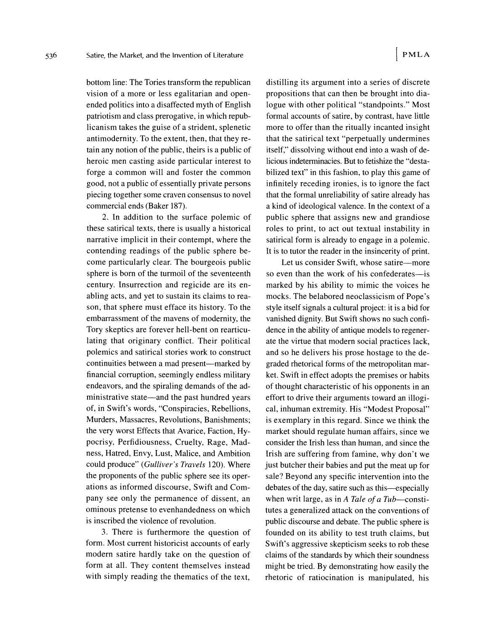536

bottom line: The Tories transform the republican vision of a more or less egalitarian and openended politics into a disaffected myth of English patriotism and class prerogative, in which republicanism takes the guise of a strident, splenetic antimodernity. To the extent, then, that they retain any notion of the public, theirs is a public of heroic men casting aside particular interest to forge a common will and foster the common good, not a public of essentially private persons piecing together some craven consensus to novel commercial ends (Baker 187).

2. In addition to the surface polemic of these satirical texts, there is usually a historical narrative implicit in their contempt, where the contending readings of the public sphere become particularly clear. The bourgeois public sphere is born of the turmoil of the seventeenth century. Insurrection and regicide are its enabling acts, and yet to sustain its claims to reason, that sphere must efface its history. To the embarrassment of the mavens of modernity, the Tory skeptics are forever hell-bent on rearticulating that originary conflict. Their political polemics and satirical stories work to construct continuities between a mad present—marked by financial corruption, seemingly endless military endeavors, and the spiraling demands of the administrative state—and the past hundred years of, in Swift's words, "Conspiracies, Rebellions, Murders, Massacres, Revolutions, Banishments; the very worst Effects that Avarice, Faction, Hypocrisy, Perfidiousness, Cruelty, Rage, Madness, Hatred, Envy, Lust, Malice, and Ambition could produce" (Gulliver's Travels 120). Where the proponents of the public sphere see its operations as informed discourse, Swift and Company see only the permanence of dissent, an ominous pretense to evenhandedness on which is inscribed the violence of revolution.

3. There is furthermore the question of form. Most current historicist accounts of early modern satire hardly take on the question of form at all. They content themselves instead with simply reading the thematics of the text,

distilling its argument into a series of discrete propositions that can then be brought into dialogue with other political "standpoints." Most formal accounts of satire, by contrast, have little more to offer than the ritually incanted insight that the satirical text "perpetually undermines itself," dissolving without end into a wash of delicious indeterminacies. But to fetishize the "destabilized text" in this fashion, to play this game of infinitely receding ironies, is to ignore the fact that the formal unreliability of satire already has a kind of ideological valence. In the context of a public sphere that assigns new and grandiose roles to print, to act out textual instability in satirical form is already to engage in a polemic. It is to tutor the reader in the insincerity of print.

Let us consider Swift, whose satire—more so even than the work of his confederates-is marked by his ability to mimic the voices he mocks. The belabored neoclassicism of Pope's style itself signals a cultural project: it is a bid for vanished dignity. But Swift shows no such confidence in the ability of antique models to regenerate the virtue that modern social practices lack, and so he delivers his prose hostage to the degraded rhetorical forms of the metropolitan market. Swift in effect adopts the premises or habits of thought characteristic of his opponents in an effort to drive their arguments toward an illogical, inhuman extremity. His "Modest Proposal" is exemplary in this regard. Since we think the market should regulate human affairs, since we consider the Irish less than human, and since the Irish are suffering from famine, why don't we just butcher their babies and put the meat up for sale? Beyond any specific intervention into the debates of the day, satire such as this—especially when writ large, as in A Tale of a Tub-constitutes a generalized attack on the conventions of public discourse and debate. The public sphere is founded on its ability to test truth claims, but Swift's aggressive skepticism seeks to rob these claims of the standards by which their soundness might be tried. By demonstrating how easily the rhetoric of ratiocination is manipulated, his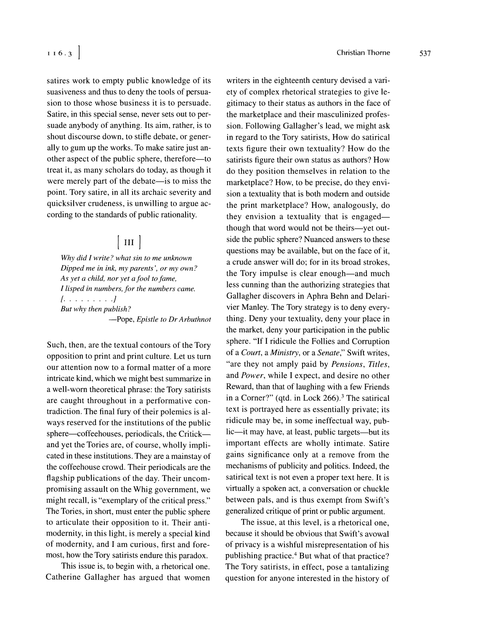satires work to empty public knowledge of its suasiveness and thus to deny the tools of persuasion to those whose business it is to persuade. Satire, in this special sense, never sets out to persuade anybody of anything. Its aim, rather, is to shout discourse down, to stifle debate, or generally to gum up the works. To make satire just another aspect of the public sphere, therefore-to treat it, as many scholars do today, as though it were merely part of the debate—is to miss the point. Tory satire, in all its archaic severity and quicksilver crudeness, is unwilling to argue according to the standards of public rationality.

## $\vert$  III  $\vert$

*Why did I write? what sin to me unknown Dipped me in ink, my parents', or my own? As jet a child, nor yet a fool to fame, I* lisped in numbers, for the numbers came. 1. . . . . . . . *.I But why then publislz?*  -Pope, *Epistle to Dr Arbuthnot* 

Such, then, are the textual contours of the Tory opposition to print and print culture. Let us turn our attention now to a formal matter of a more intricate kind, which we might best summarize in a well-worn theoretical phrase: the Tory satirists are caught throughout in a performative contradiction. The final fury of their polemics is always reserved for the institutions of the public sphere—coffeehouses, periodicals, the Critick and yet the Tories are, of course, wholly implicated in these institutions. They are a mainstay of the coffeehouse crowd. Their periodicals are the flagship publications of the day. Their uncompromising assault on the Whig government, we might recall, is "exemplary of the critical press." The Tories, in short, must enter the public sphere to articulate their opposition to it. Their antimodernity, in this light, is merely a special kind of modernity, and I am curious, first and foremost, how the Tory satirists endure this paradox.

This issue is, to begin with, a rhetorical one. Catherine Gallagher has argued that women

writers in the eighteenth century devised a variety of complex rhetorical strategies to give legitimacy to their status as authors in the face of the marketplace and their masculinized profession. Following Gallagher's lead, we might ask in regard to the Tory satirists, How do satirical texts figure their own textuality? How do the satirists figure their own status as authors? How do they position themselves in relation to the marketplace? How, to be precise, do they envision a textuality that is both modern and outside the print marketplace? How, analogously, do they envision a textuality that is engaged though that word would not be theirs-yet outside the public sphere? Nuanced answers to these questions may be available, but on the face of it, a crude answer will do; for in its broad strokes, the Tory impulse is clear enough—and much less cunning than the authorizing strategies that Gallagher discovers in Aphra Behn and Delarivier Manley. The Tory strategy is to deny everything. Deny your textuality, deny your place in the market, deny your participation in the public sphere. "If I ridicule the Follies and Corruption of a *Court,* a *Ministry,* or a *Senate,"* Swift writes, "are they not amply paid by *Pensions, Titles,*  and *Power,* while I expect, and desire no other Reward, than that of laughing with a few Friends in a Corner?" (qtd. in Lock  $266$ ).<sup>3</sup> The satirical text is portrayed here as essentially private; its ridicule may be, in some ineffectual way, public-it may have, at least, public targets-but its important effects are wholly intimate. Satire gains significance only at a remove from the mechanisms of publicity and politics. Indeed, the satirical text is not even a proper text here. It is virtually a spoken act, a conversation or chuckle between pals, and is thus exempt from Swift's generalized critique of print or public argument.

The issue, at this level, is a rhetorical one, because it should be obvious that Swift's avowal of privacy is a wishful misrepresentation of his publishing practice.<sup>4</sup> But what of that practice? The Tory satirists, in effect, pose a tantalizing question for anyone interested in the history of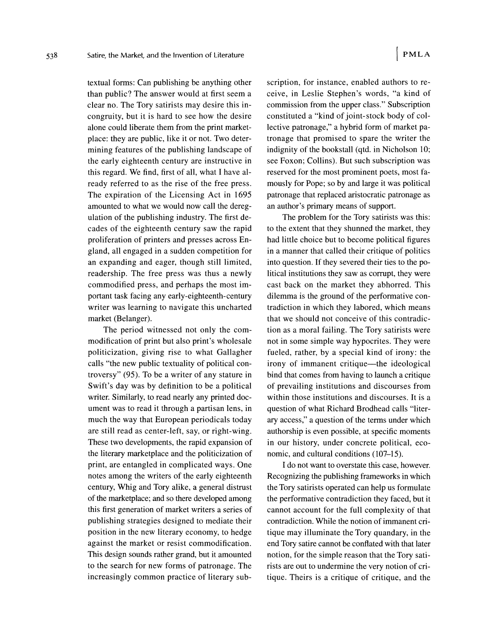textual forms: Can publishing be anything other than public? The answer would at first seem a clear no. The Tory satirists may desire this incongruity, but it is hard to see how the desire alone could liberate them from the print marketplace: they are public, like it or not. Two determining features of the publishing landscape of the early eighteenth century are instructive in this regard. We find, first of all, what I have already referred to as the rise of the free press. The expiration of the Licensing Act in 1695 amounted to what we would now call the deregulation of the publishing industry. The first decades of the eighteenth century saw the rapid proliferation of printers and presses across England, all engaged in a sudden competition for an expanding and eager, though still limited, readership. The free press was thus a newly commodified press, and perhaps the most important task facing any early-eighteenth-century writer was learning to navigate this uncharted market (Belanger).

The period witnessed not only the commodification of print but also print's wholesale politicization, giving rise to what Gallagher calls "the new public textuality of political controversy" (95). To be a writer of any stature in Swift's day was by definition to be a political writer. Similarly, to read nearly any printed document was to read it through a partisan lens, in much the way that European periodicals today are still read as center-left, say, or right-wing. These two developments, the rapid expansion of the literary marketplace and the politicization of print, are entangled in complicated ways. One notes among the writers of the early eighteenth century, Whig and Tory alike, a general distrust of the marketplace; and so there developed among this first generation of market writers a series of publishing strategies designed to mediate their position in the new literary economy, to hedge against the market or resist commodification. This design sounds rather grand, but it amounted to the search for new forms of patronage. The increasingly common practice of literary subscription, for instance, enabled authors to receive, in Leslie Stephen's words, "a kind of commission from the upper class." Subscription constituted a "kind of joint-stock body of collective patronage," a hybrid form of market patronage that promised to spare the writer the indignity of the bookstall (qtd. in Nicholson 10; see Foxon; Collins). But such subscription was reserved for the most prominent poets, most famously for Pope; so by and large it was political patronage that replaced aristocratic patronage as an author's primary means of support.

The problem for the Tory satirists was this: to the extent that they shunned the market, they had little choice but to become political figures in a manner that called their critique of politics into question. If they severed their ties to the political institutions they saw as corrupt, they were cast back on the market they abhorred. This dilemma is the ground of the performative contradiction in which they labored, which means that we should not conceive of this contradiction as a moral failing. The Tory satirists were not in some simple way hypocrites. They were fueled, rather, by a special kind of irony: the irony of immanent critique—the ideological bind that comes from having to launch a critique of prevailing institutions and discourses from within those institutions and discourses. It is a question of what Richard Brodhead calls "literary access," a question of the terms under which authorship is even possible, at specific moments in our history, under concrete political, economic, and cultural conditions (107-15).

I do not want to overstate this case, however. Recognizing the publishing frameworks in which the Tory satirists operated can help us formulate the performative contradiction they faced, but it cannot account for the full complexity of that contradiction. While the notion of immanent critique may illuminate the Tory quandary, in the end Tory satire cannot be conflated with that later notion, for the simple reason that the Tory satirists are out to undermine the very notion of critique. Theirs is a critique of critique, and the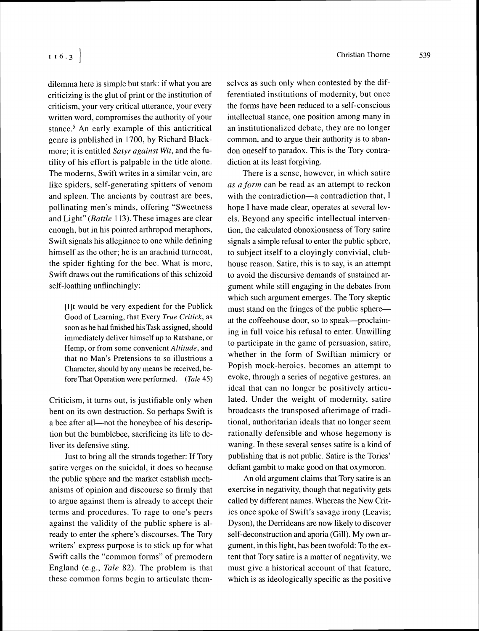dilemma here is simple but stark: if what you are criticizing is the glut of print or the institution of criticism, your very critical utterance, your every written word, compromises the authority of your stance.<sup>5</sup> An early example of this anticritical genre is published in 1700, by Richard Blackmore; it is entitled Satyr against Wit, and the futility of his effort is palpable in the title alone. The moderns, Swift writes in a similar vein, are like spiders, self-generating spitters of venom and spleen. The ancients by contrast are bees, pollinating men's minds, offering "Sweetness and Light" (Battle 113). These images are clear enough, but in his pointed arthropod metaphors, Swift signals his allegiance to one while defining himself as the other; he is an arachnid turncoat, the spider fighting for the bee. What is more, Swift draws out the ramifications of this schizoid self-loathing unflinchingly:

[I]t would be very expedient for the Publick Good of Learning, that Every True Critick, as soon as he had finished hisTask assigned, should immediately deliver himself up to Ratsbane, or Hemp, or from some convenient Altitude, and that no Man's Pretensions to so illustrious a Character, should by any means be received, before That Operation were performed. (Tale 45)

Criticism, it turns out, is justifiable only when bent on its own destruction. So perhaps Swift is a bee after all—not the honeybee of his description but the bumblebee, sacrificing its life to deliver its defensive sting.

Just to bring all the strands together: If Tory satire verges on the suicidal, it does so because the public sphere and the market establish mechanisms of opinion and discourse so firmly that to argue against them is already to accept their terms and procedures. To rage to one's peers against the validity of the public sphere is already to enter the sphere's discourses. The Tory writers' express purpose is to stick up for what Swift calls the "common forms" of premodern England (e.g., Tale 82). The problem is that these common forms begin to articulate themselves as such only when contested by the differentiated institutions of modernity, but once the forms have been reduced to a self-conscious intellectual stance, one position among many in an institutionalized debate, they are no longer common, and to argue their authority is to abandon oneself to paradox. This is the Tory contradiction at its least forgiving.

There is a sense, however, in which satire as a form can be read as an attempt to reckon with the contradiction-a contradiction that, I hope I have made clear, operates at several levels. Beyond any specific intellectual intervention, the calculated obnoxiousness of Tory satire signals a simple refusal to enter the public sphere, to subject itself to a cloyingly convivial, clubhouse reason. Satire, this is to say, is an attempt to avoid the discursive demands of sustained argument while still engaging in the debates from which such argument emerges. The Tory skeptic must stand on the fringes of the public sphereat the coffeehouse door, so to speak---proclaiming in full voice his refusal to enter. Unwilling to participate in the game of persuasion, satire, whether in the form of Swiftian mimicry or Popish mock-heroics, becomes an attempt to evoke, through a series of negative gestures, an ideal that can no longer be positively articulated. Under the weight of modernity, satire broadcasts the transposed afterimage of traditional, authoritarian ideals that no longer seem rationally defensible and whose hegemony is waning. In these several senses satire is a kind of publishing that is not public. Satire is the Tories' defiant gambit to make good on that oxymoron.

An old argument claims that Tory satire is an exercise in negativity, though that negativity gets called by different names. Whereas the New Critics once spoke of Swift's savage irony (Leavis; Dyson), the Derrideans are now likely to discover self-deconstruction and aporia (Gill). My own argument, in this light, has been twofold: To the extent that Tory satire is a matter of negativity, we must give a historical account of that feature, which is as ideologically specific as the positive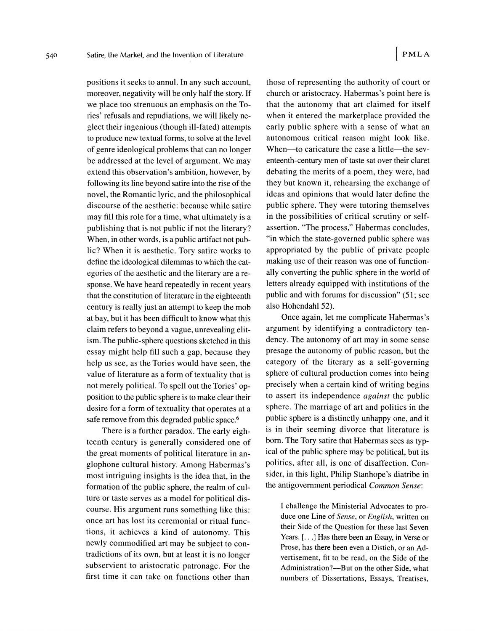positions it seeks to annul. In any such account, moreover, negativity will be only half the story. If we place too strenuous an emphasis on the Tories' refusals and repudiations, we will likely neglect their ingenious (though ill-fated) attempts to produce new textual forms, to solve at the level of genre ideological problems that can no longer be addressed at the level of argument. We may extend this observation's ambition, however, by following its line beyond satire into the rise of the novel, the Romantic lyric, and the philosophical discourse of the aesthetic: because while satire may fill this role for a time, what ultimately is a publishing that is not public if not the literary? When, in other words, is a public artifact not public? When it is aesthetic. Tory satire works to define the ideological dilemmas to which the categories of the aesthetic and the literary are a response. We have heard repeatedly in recent years that the constitution of literature in the eighteenth century is really just an attempt to keep the mob at bay, but it has been difficult to know what this claim refers to beyond a vague, unrevealing elitism. The public-sphere questions sketched in this essay might help fill such a gap, because they help us see, as the Tories would have seen, the value of literature as a form of textuality that is not merely political. To spell out the Tories' opposition to the public sphere is to make clear their desire for a form of textuality that operates at a safe remove from this degraded public space.<sup>6</sup>

There is a further paradox. The early eighteenth century is generally considered one of the great moments of political literature in anglophone cultural history. Among Habermas's most intriguing insights is the idea that, in the formation of the public sphere, the realm of culture or taste serves as a model for political discourse. His argument runs something like this: once art has lost its ceremonial or ritual functions, it achieves a kind of autonomy. This newly commodified art may be subject to contradictions of its own, but at least it is no longer subservient to aristocratic patronage. For the first time it can take on functions other than

those of representing the authority of court or church or aristocracy. Habermas's point here is that the autonomy that art claimed for itself when it entered the marketplace provided the early public sphere with a sense of what an autonomous critical reason might look like. When-to caricature the case a little-the seventeenth-century men of taste sat over their claret debating the merits of a poem, they were, had they but known it, rehearsing the exchange of ideas and opinions that would later define the public sphere. They were tutoring themselves in the possibilities of critical scrutiny or selfassertion. "The process," Habermas concludes, "in which the state-governed public sphere was appropriated by the public of private people making use of their reason was one of functionally converting the public sphere in the world of letters already equipped with institutions of the public and with forums for discussion" *( 5*1; see also Hohendahl 52).

Once again, let me complicate Habermas's argument by identifying a contradictory tendency. The autonomy of art may in some sense presage the autonomy of public reason, but the category of the literary as a self-governing sphere of cultural production comes into being precisely when a certain kind of writing begins to assert its independence *against* the public sphere. The marriage of art and politics in the public sphere is a distinctly unhappy one, and it is in their seeming divorce that literature is born. The Tory satire that Habermas sees as typical of the public sphere may be political, but its politics, after all, is one of disaffection. Consider, in this light, Philip Stanhope's diatribe in the antigovernment periodical *Common Sense*:

I challenge the Ministerial Advocates to produce one Line of *Sense,* or English, written on their Side of the Question for these last Seven Years. [...] Has there been an Essay, in Verse or Prose, has there been even a Distich, or an Advertisement, fit to be read. on the Side of the Administration?—But on the other Side, what numbers of Dissertations, Essays, Treatises,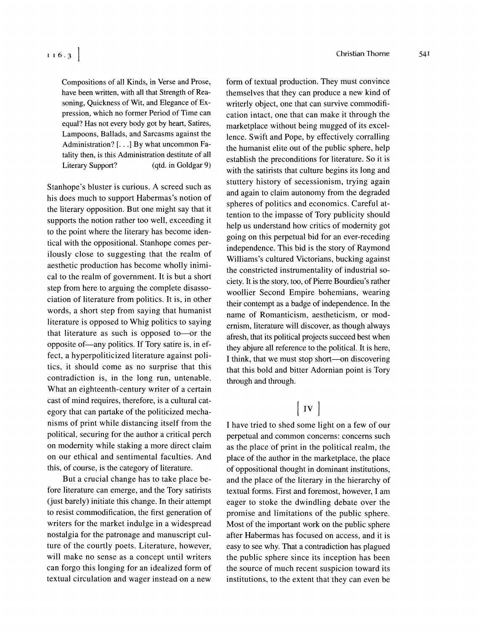Compositions of all Kinds, in Verse and Prose, have been written, with all that Strength of Reasoning, Quickness of Wit, and Elegance of **Ex**pression, which no former Period of Time can equal? Has not every body got by heart, Satires. Lampoons, Ballads, and Sarcasms against the Administration? [...] By what uncommon Fatality then, is this Administration destitute of all Literary Support? (qtd. in Goldgar 9)

Stanhope's bluster is curious. A screed such as his does much to support Habermas's notion of the literary opposition. But one might say that it supports the notion rather too well, exceeding it to the point where the literary has become identical with the oppositional. Stanhope comes perilously close to suggesting that the realm of aesthetic production has become wholly inimical to the realm of government. It is but a short step from here to arguing the complete disassociation of literature from politics. It is, in other words, a short step from saying that humanist literature is opposed to Whig politics to saying that literature as such is opposed to or the opposite of-any politics. If Tory satire is, in effect, a hyperpoliticized literature against politics, it should come as no surprise that this contradiction is, in the long run, untenable. What an eighteenth-century writer of a certain cast of mind requires, therefore, is a cultural category that can partake of the politicized mechanisms of print while distancing itself from the political, securing for the author a critical perch on modernity while staking a more direct claim on our ethical and sentimental faculties. And this, of course, is the category of literature.

But a crucial change has to take place before literature can emerge, and the Tory satirists (just barely) initiate this change. In their attempt to resist commodification, the first generation of writers for the market indulge in a widespread nostalgia for the patronage and manuscript culture of the courtly poets. Literature, however, will make no sense as a concept until writers can forgo this longing for an idealized form of textual circulation and wager instead on a new

form of textual production. They must convince themselves that they can produce a new kind of writerly object, one that can survive commodification intact, one that can make it through the marketplace without being mugged of its excellence. Swift and Pope, by effectively corralling the humanist elite out of the public sphere, help establish the preconditions for literature. So it is with the satirists that culture begins its long and stuttery history of secessionism, trying again and again to claim autonomy from the degraded spheres of politics and economics. Careful attention to the impasse of Tory publicity should help us understand how critics of modernity got going on this perpetual bid for an ever-receding independence. This bid is the story of Raymond Williams's cultured Victorians, bucking against the constricted instrumentality of industrial society. It is the story, too, of Pierre Bourdieu's rather woollier Second Empire bohemians, wearing their contempt as a badge of independence. In the name of Romanticism, aestheticism, or modernism, literature will discover, as though always afresh, that its political projects succeed best when they abjure all reference to the political. It is here, I think, that we must stop short—on discovering that this bold and bitter Adornian point is Tory through and through.

## $\vert$  IV  $\vert$

I have tried to shed some light on a few of our perpetual and common concerns: concerns such as the place of print in the political realm, the place of the author in the marketplace, the place of oppositional thought in dominant institutions, and the place of the literary in the hierarchy of textual forms. First and foremost, however, I am eager to stoke the dwindling debate over the promise and limitations of the public sphere. Most of the important work on the public sphere after Habermas has focused on access, and it is easy to see why. That a contradiction has plagued the public sphere since its inception has been the source of much recent suspicion toward its institutions, to the extent that they can even be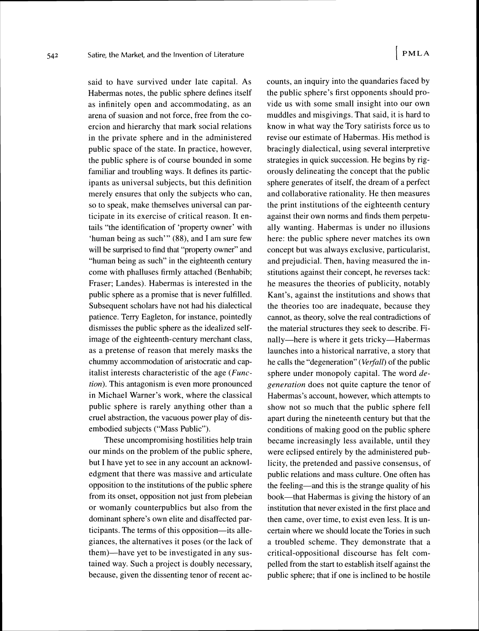said to have survived under late capital. As Habermas notes, the public sphere defines itself as infinitely open and accommodating, as an arena of suasion and not force, free from the coercion and hierarchy that mark social relations in the private sphere and in the administered public space of the state. In practice, however, the public sphere is of course bounded in some familiar and troubling ways. It defines its participants as universal subjects, but this definition merely ensures that only the subjects who can, so to speak, make themselves universal can participate in its exercise of critical reason. It entails "the identification of 'property owner' with 'human being as such'" (88), and I am sure few will be surprised to find that "property owner" and "human being as such" in the eighteenth century come with phalluses firmly attached (Benhabib; Fraser; Landes). Habermas is interested in the public sphere as a promise that is never fulfilled. Subsequent scholars have not had his dialectical patience. Terry Eagleton, for instance, pointedly dismisses the public sphere as the idealized selfimage of the eighteenth-century merchant class, as a pretense of reason that merely masks the chummy accommodation of aristocratic and capitalist interests characteristic of the age (Function). This antagonism is even more pronounced in Michael Warner's work, where the classical public sphere is rarely anything other than a cruel abstraction, the vacuous power play of disembodied subjects ("Mass Public").

These uncompromising hostilities help train our minds on the problem of the public sphere, but I have yet to see in any account an acknowledgment that there was massive and articulate opposition to the institutions of the public sphere from its onset, opposition not just from plebeian or womanly counterpublics but also from the dominant sphere's own elite and disaffected participants. The terms of this opposition—its allegiances, the alternatives it poses (or the lack of them)-have yet to be investigated in any sustained way. Such a project is doubly necessary, because, given the dissenting tenor of recent accounts, an inquiry into the quandaries faced by the public sphere's first opponents should provide us with some small insight into our own muddles and misgivings. That said, it is hard to know in what way the Tory satirists force us to revise our estimate of Habermas. His method is bracingly dialectical, using several interpretive strategies in quick succession. He begins by rigorously delineating the concept that the public sphere generates of itself, the dream of a perfect and collaborative rationality. He then measures the print institutions of the eighteenth century against their own norms and finds them perpetually wanting. Habermas is under no illusions here: the public sphere never matches its own concept but was always exclusive, particularist, and prejudicial. Then, having measured the institutions against their concept, he reverses tack: he measures the theories of publicity, notably Kant's, against the institutions and shows that the theories too are inadequate, because they cannot, as theory, solve the real contradictions of the material structures they seek to describe. Finally—here is where it gets tricky—Habermas launches into a historical narrative, a story that he calls the "degeneration" (Verfall) of the public sphere under monopoly capital. The word  $de$ generation does not quite capture the tenor of Habermas's account, however, which attempts to show not so much that the public sphere fell apart during the nineteenth century but that the conditions of making good on the public sphere became increasingly less available, until they were eclipsed entirely by the administered publicity, the pretended and passive consensus, of public relations and mass culture. One often has the feeling—and this is the strange quality of his book—that Habermas is giving the history of an institution that never existed in the first place and then came, over time, to exist even less. It is uncertain where we should locate the Tories in such a troubled scheme. They demonstrate that a critical-oppositional discourse has felt compelled from the start to establish itself against the public sphere; that if one is inclined to be hostile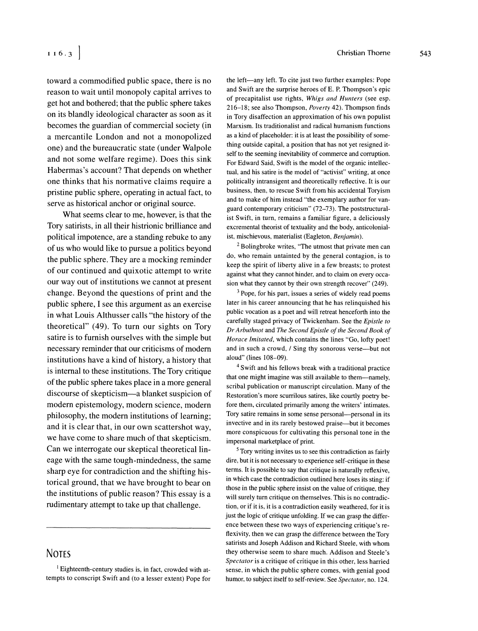toward a commodified public space, there is no reason to wait until monopoly capital arrives to get hot and bothered; that the public sphere takes on its blandly ideological character as soon as it becomes the guardian of commercial society (in a mercantile London and not a monopolized one) and the bureaucratic state (under Walpole and not some welfare regime). Does this sink Habermas's account? That depends on whether one thinks that his normative claims require a pristine public sphere, operating in actual fact, to serve as historical anchor or original source.

What seems clear to me, however, is that the Tory satirists, in all their histrionic brilliance and political impotence, are a standing rebuke to any of us who would like to pursue a politics beyond the public sphere. They are a mocking reminder of our continued and quixotic attempt to write our way out of institutions we cannot at present change. Beyond the questions of print and the public sphere, I see this argument as an exercise in what Louis Althusser calls "the history of the theoretical" (49). To turn our sights on Tory satire is to furnish ourselves with the simple but necessary reminder that our criticisms of modern institutions have a kind of history, a history that is internal to these institutions. The Tory critique of the public sphere takes place in a more general discourse of skepticism-a blanket suspicion of modern epistemology, modern science, modern philosophy, the modern institutions of learning; and it is clear that, in our own scattershot way, we have come to share much of that skepticism. Can we interrogate our skeptical theoretical lineage with the same tough-mindedness, the same sharp eye for contradiction and the shifting historical ground, that we have brought to bear on the institutions of public reason? This essay is a rudimentary attempt to take up that challenge.

#### **NOTES**

the left-any left. To cite just two further examples: Pope and Swift are the surprise heroes of E. P. Thompson's epic of precapitalist use rights. *Whigs und Hunters* (see esp. 216-18: see also Thompson, *Poverty* 42). Thompson finds in Tory disaffection an approximation of his own populist Marxism. Its traditionalist and radical humanism functions as a kind of placeholder: it is at least the possibility of something outside capital, a position that has not yet resigned itself to the seeming inevitability of commerce and corruption. For Edward Said, Swift is the model of the organic intellectual, and his satire is the model of "activist" writing, at once politically intransigent and theoretically reflective. It is our business, then. to rescue Swift from his accidental Toryism and to make of him instead "the exemplary author for vanguard contemporary criticism" (72-73). The poststructuralist Swift. in turn, remains a familiar figure. a deliciously excremental theorist of textuality and the body, anticolonialist, mischievous, materialist (Eagleton, Benjamin).

 $2$  Bolingbroke writes. "The utmost that private men can do, who remain untainted by the general contagion. is to keep the spirit of liberty alive in a few breasts: to protest against what they cannot hinder, and to claim on every occasion what they cannot by their own strength recover" (249).

 $3$  Pope, for his part, issues a series of widely read poems later in his career announcing that he has relinquished his public vocation as a poet and will retreat henceforth into the carefully staged privacy of Twickenham. See the *Epistle to DrArbr(thnot* and *The Second Epistle of the Second Book of Horace Imitated, which contains the lines "Go, lofty poet!* and in such a crowd. / Sing thy sonorous verse-but not aloud" (lines 108-09).

'Swift and his fellows break with a traditional practice that one might imagine was still available to them---namely, scribal publication or manuscript circulation. Many of the Restoration's more scurrilous satires, like courtly poetry before them, circulated primarily among the writers' intimates. Tory satire remains in some sense personal-personal in its invective and in its rarely bestowed praise—but it becomes more conspicuous for cultivating this personal tone in the impersonal marketplace of print.

<sup>5</sup> Tory writing invites us to see this contradiction as fairly dire, but it is not necessary to experience self-critique in these terms. It is possible to say that critique is naturally reflexive. in which case the contradiction outlined here loses its sting: if those in the public sphere insist on the value of critique, they will surely turn critique on themselves. This is no contradiction. or if it is, it is a contradiction easily weathered, for it is just the logic of critique unfolding. If we can grasp the difference between these two ways of experiencing critique's reflexivity, then we can grasp the difference between the Tory satirists and Joseph Addison and Richard Steele. with whom they otherwise seem to share much. Addison and Steele's *Spectutor* is a critique of critique in this other. less harried sense, in which the public sphere comes, with genial good humor, to subject itself to self-review. See *Spectator*, no. 124.

Eighteenth-century studies is, in fact, crowded with attempts to conscript Swift and (to a lesser extent) Pope for